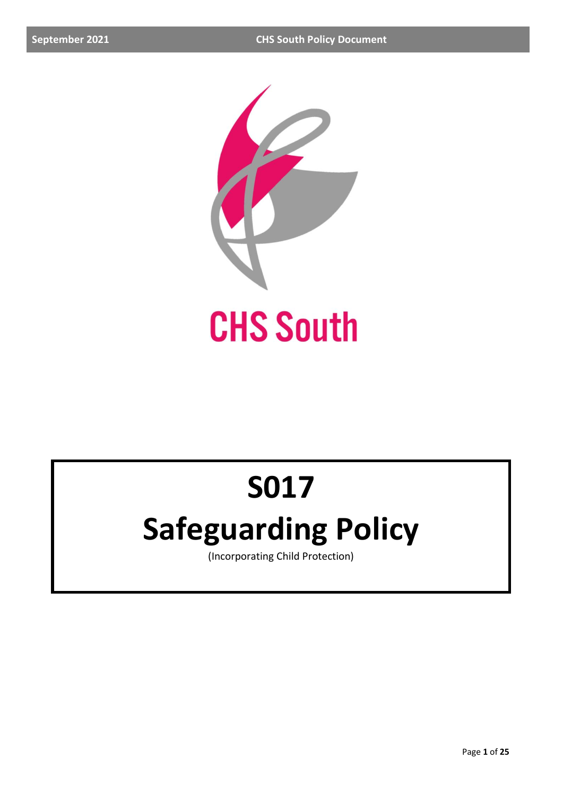

# **S017**

## **Safeguarding Policy**

(Incorporating Child Protection)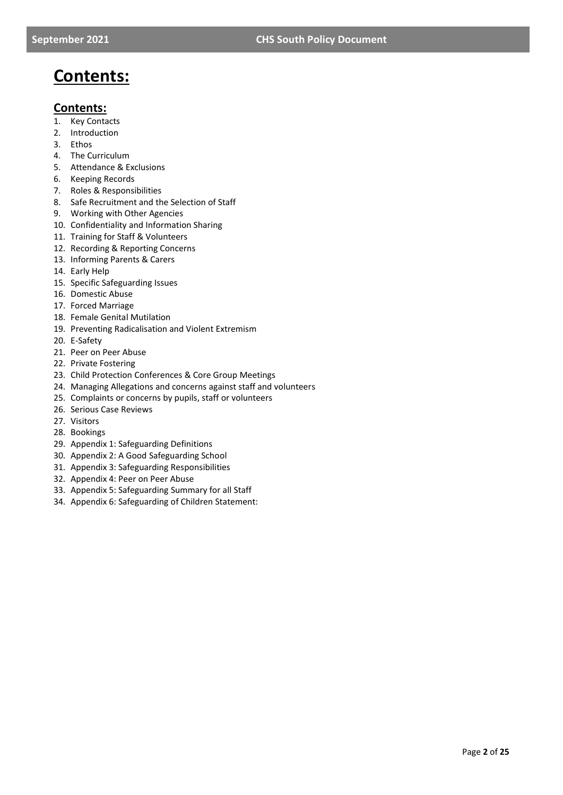### **Contents:**

### **Contents:**

- 1. Key Contacts
- 2. Introduction
- 3. Ethos
- 4. The Curriculum
- 5. Attendance & Exclusions
- 6. Keeping Records
- 7. Roles & Responsibilities
- 8. Safe Recruitment and the Selection of Staff
- 9. Working with Other Agencies
- 10. Confidentiality and Information Sharing
- 11. Training for Staff & Volunteers
- 12. Recording & Reporting Concerns
- 13. Informing Parents & Carers
- 14. Early Help
- 15. Specific Safeguarding Issues
- 16. Domestic Abuse
- 17. Forced Marriage
- 18. Female Genital Mutilation
- 19. Preventing Radicalisation and Violent Extremism
- 20. E-Safety
- 21. Peer on Peer Abuse
- 22. Private Fostering
- 23. Child Protection Conferences & Core Group Meetings
- 24. Managing Allegations and concerns against staff and volunteers
- 25. Complaints or concerns by pupils, staff or volunteers
- 26. Serious Case Reviews
- 27. Visitors
- 28. Bookings
- 29. Appendix 1: Safeguarding Definitions
- 30. Appendix 2: A Good Safeguarding School
- 31. Appendix 3: Safeguarding Responsibilities
- 32. Appendix 4: Peer on Peer Abuse
- 33. Appendix 5: Safeguarding Summary for all Staff
- 34. Appendix 6: Safeguarding of Children Statement: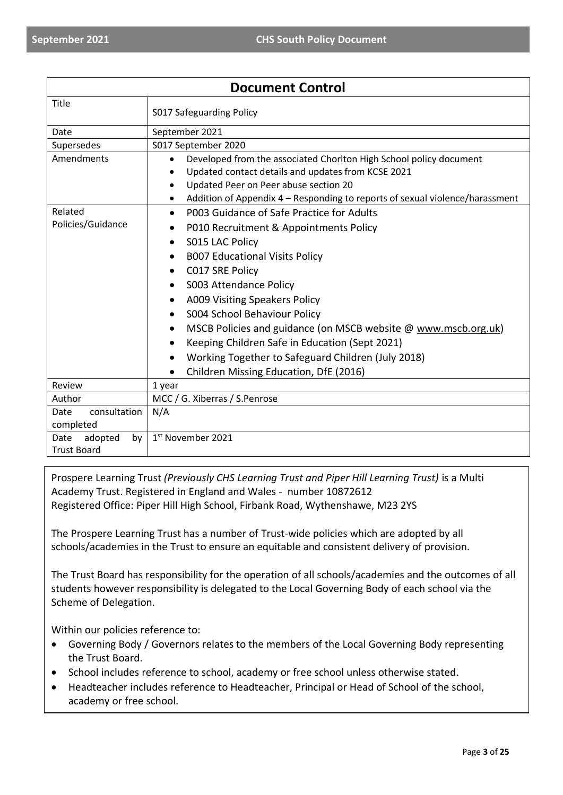| <b>Document Control</b> |                                                                                   |  |
|-------------------------|-----------------------------------------------------------------------------------|--|
| Title                   | S017 Safeguarding Policy                                                          |  |
| Date                    | September 2021                                                                    |  |
| Supersedes              | S017 September 2020                                                               |  |
| Amendments              | Developed from the associated Chorlton High School policy document<br>$\bullet$   |  |
|                         | Updated contact details and updates from KCSE 2021<br>$\bullet$                   |  |
|                         | Updated Peer on Peer abuse section 20<br>$\bullet$                                |  |
|                         | Addition of Appendix 4 – Responding to reports of sexual violence/harassment<br>٠ |  |
| Related                 | P003 Guidance of Safe Practice for Adults<br>$\bullet$                            |  |
| Policies/Guidance       | P010 Recruitment & Appointments Policy<br>٠                                       |  |
|                         | S015 LAC Policy<br>$\bullet$                                                      |  |
|                         | <b>B007 Educational Visits Policy</b><br>$\bullet$                                |  |
|                         | C017 SRE Policy<br>$\bullet$                                                      |  |
|                         | S003 Attendance Policy<br>$\bullet$                                               |  |
|                         | A009 Visiting Speakers Policy<br>$\bullet$                                        |  |
|                         | S004 School Behaviour Policy<br>٠                                                 |  |
|                         | MSCB Policies and guidance (on MSCB website @ www.mscb.org.uk)<br>٠               |  |
|                         | Keeping Children Safe in Education (Sept 2021)<br>$\bullet$                       |  |
|                         | Working Together to Safeguard Children (July 2018)<br>$\bullet$                   |  |
|                         |                                                                                   |  |
| Review                  | Children Missing Education, DfE (2016)                                            |  |
| Author                  | 1 year<br>MCC / G. Xiberras / S.Penrose                                           |  |
| consultation<br>Date    | N/A                                                                               |  |
| completed               |                                                                                   |  |
| adopted<br>Date<br>by   | 1st November 2021                                                                 |  |
| <b>Trust Board</b>      |                                                                                   |  |

Prospere Learning Trust *(Previously CHS Learning Trust and Piper Hill Learning Trust)* is a Multi Academy Trust. Registered in England and Wales - number 10872612 Registered Office: Piper Hill High School, Firbank Road, Wythenshawe, M23 2YS

The Prospere Learning Trust has a number of Trust-wide policies which are adopted by all schools/academies in the Trust to ensure an equitable and consistent delivery of provision.

The Trust Board has responsibility for the operation of all schools/academies and the outcomes of all students however responsibility is delegated to the Local Governing Body of each school via the Scheme of Delegation.

Within our policies reference to:

- Governing Body / Governors relates to the members of the Local Governing Body representing the Trust Board.
- School includes reference to school, academy or free school unless otherwise stated.
- Headteacher includes reference to Headteacher, Principal or Head of School of the school, academy or free school.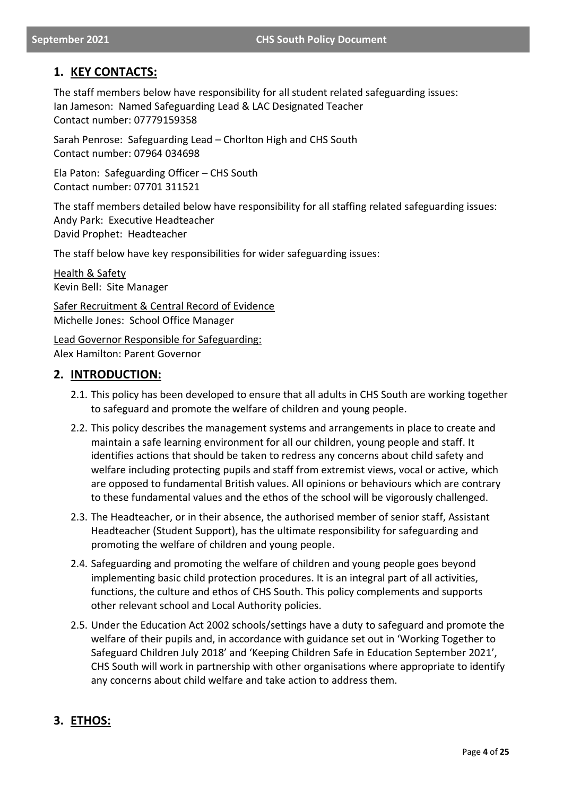### **1. KEY CONTACTS:**

The staff members below have responsibility for all student related safeguarding issues: Ian Jameson: Named Safeguarding Lead & LAC Designated Teacher Contact number: 07779159358

Sarah Penrose: Safeguarding Lead – Chorlton High and CHS South Contact number: 07964 034698

Ela Paton: Safeguarding Officer – CHS South Contact number: 07701 311521

The staff members detailed below have responsibility for all staffing related safeguarding issues: Andy Park: Executive Headteacher David Prophet: Headteacher

The staff below have key responsibilities for wider safeguarding issues:

Health & Safety Kevin Bell: Site Manager

Safer Recruitment & Central Record of Evidence Michelle Jones: School Office Manager

Lead Governor Responsible for Safeguarding: Alex Hamilton: Parent Governor

### **2. INTRODUCTION:**

- 2.1. This policy has been developed to ensure that all adults in CHS South are working together to safeguard and promote the welfare of children and young people.
- 2.2. This policy describes the management systems and arrangements in place to create and maintain a safe learning environment for all our children, young people and staff. It identifies actions that should be taken to redress any concerns about child safety and welfare including protecting pupils and staff from extremist views, vocal or active, which are opposed to fundamental British values. All opinions or behaviours which are contrary to these fundamental values and the ethos of the school will be vigorously challenged.
- 2.3. The Headteacher, or in their absence, the authorised member of senior staff, Assistant Headteacher (Student Support), has the ultimate responsibility for safeguarding and promoting the welfare of children and young people.
- 2.4. Safeguarding and promoting the welfare of children and young people goes beyond implementing basic child protection procedures. It is an integral part of all activities, functions, the culture and ethos of CHS South. This policy complements and supports other relevant school and Local Authority policies.
- 2.5. Under the Education Act 2002 schools/settings have a duty to safeguard and promote the welfare of their pupils and, in accordance with guidance set out in 'Working Together to Safeguard Children July 2018' and 'Keeping Children Safe in Education September 2021', CHS South will work in partnership with other organisations where appropriate to identify any concerns about child welfare and take action to address them.

### **3. ETHOS:**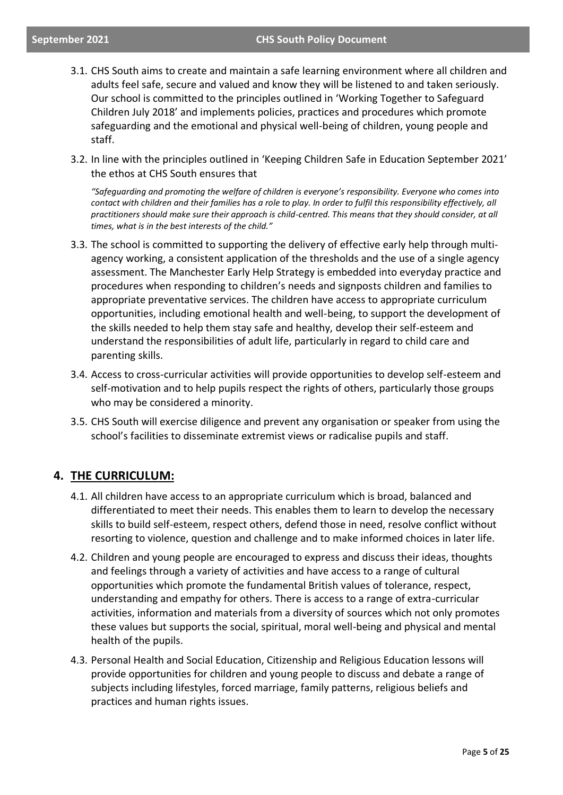#### **September 2021 CHS South Policy Document**

- 3.1. CHS South aims to create and maintain a safe learning environment where all children and adults feel safe, secure and valued and know they will be listened to and taken seriously. Our school is committed to the principles outlined in 'Working Together to Safeguard Children July 2018' and implements policies, practices and procedures which promote safeguarding and the emotional and physical well-being of children, young people and staff.
- 3.2. In line with the principles outlined in 'Keeping Children Safe in Education September 2021' the ethos at CHS South ensures that

*"Safeguarding and promoting the welfare of children is everyone's responsibility. Everyone who comes into contact with children and their families has a role to play. In order to fulfil this responsibility effectively, all practitioners should make sure their approach is child-centred. This means that they should consider, at all times, what is in the best interests of the child."*

- 3.3. The school is committed to supporting the delivery of effective early help through multiagency working, a consistent application of the thresholds and the use of a single agency assessment. The Manchester Early Help Strategy is embedded into everyday practice and procedures when responding to children's needs and signposts children and families to appropriate preventative services. The children have access to appropriate curriculum opportunities, including emotional health and well-being, to support the development of the skills needed to help them stay safe and healthy, develop their self-esteem and understand the responsibilities of adult life, particularly in regard to child care and parenting skills.
- 3.4. Access to cross-curricular activities will provide opportunities to develop self-esteem and self-motivation and to help pupils respect the rights of others, particularly those groups who may be considered a minority.
- 3.5. CHS South will exercise diligence and prevent any organisation or speaker from using the school's facilities to disseminate extremist views or radicalise pupils and staff.

### **4. THE CURRICULUM:**

- 4.1. All children have access to an appropriate curriculum which is broad, balanced and differentiated to meet their needs. This enables them to learn to develop the necessary skills to build self-esteem, respect others, defend those in need, resolve conflict without resorting to violence, question and challenge and to make informed choices in later life.
- 4.2. Children and young people are encouraged to express and discuss their ideas, thoughts and feelings through a variety of activities and have access to a range of cultural opportunities which promote the fundamental British values of tolerance, respect, understanding and empathy for others. There is access to a range of extra-curricular activities, information and materials from a diversity of sources which not only promotes these values but supports the social, spiritual, moral well-being and physical and mental health of the pupils.
- 4.3. Personal Health and Social Education, Citizenship and Religious Education lessons will provide opportunities for children and young people to discuss and debate a range of subjects including lifestyles, forced marriage, family patterns, religious beliefs and practices and human rights issues.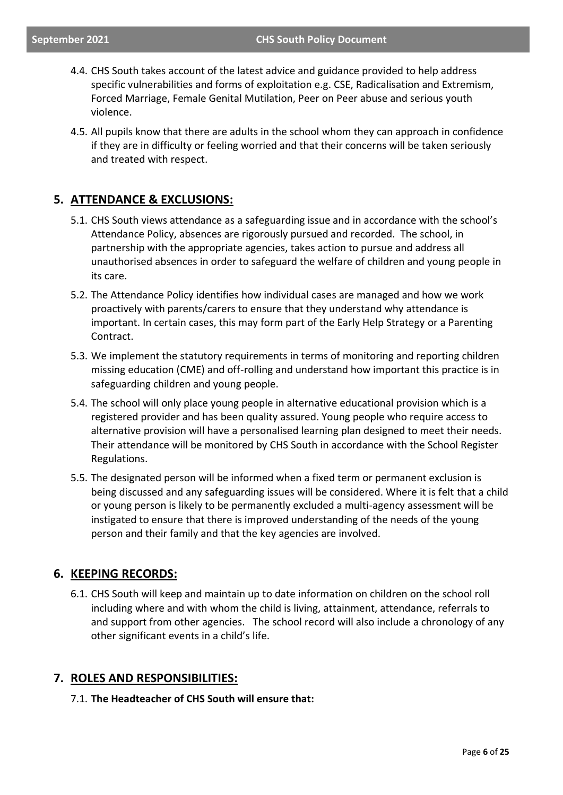- 4.4. CHS South takes account of the latest advice and guidance provided to help address specific vulnerabilities and forms of exploitation e.g. CSE, Radicalisation and Extremism, Forced Marriage, Female Genital Mutilation, Peer on Peer abuse and serious youth violence.
- 4.5. All pupils know that there are adults in the school whom they can approach in confidence if they are in difficulty or feeling worried and that their concerns will be taken seriously and treated with respect.

### **5. ATTENDANCE & EXCLUSIONS:**

- 5.1. CHS South views attendance as a safeguarding issue and in accordance with the school's Attendance Policy, absences are rigorously pursued and recorded. The school, in partnership with the appropriate agencies, takes action to pursue and address all unauthorised absences in order to safeguard the welfare of children and young people in its care.
- 5.2. The Attendance Policy identifies how individual cases are managed and how we work proactively with parents/carers to ensure that they understand why attendance is important. In certain cases, this may form part of the Early Help Strategy or a Parenting Contract.
- 5.3. We implement the statutory requirements in terms of monitoring and reporting children missing education (CME) and off-rolling and understand how important this practice is in safeguarding children and young people.
- 5.4. The school will only place young people in alternative educational provision which is a registered provider and has been quality assured. Young people who require access to alternative provision will have a personalised learning plan designed to meet their needs. Their attendance will be monitored by CHS South in accordance with the School Register Regulations.
- 5.5. The designated person will be informed when a fixed term or permanent exclusion is being discussed and any safeguarding issues will be considered. Where it is felt that a child or young person is likely to be permanently excluded a multi-agency assessment will be instigated to ensure that there is improved understanding of the needs of the young person and their family and that the key agencies are involved.

### **6. KEEPING RECORDS:**

6.1. CHS South will keep and maintain up to date information on children on the school roll including where and with whom the child is living, attainment, attendance, referrals to and support from other agencies. The school record will also include a chronology of any other significant events in a child's life.

### **7. ROLES AND RESPONSIBILITIES:**

### 7.1. **The Headteacher of CHS South will ensure that:**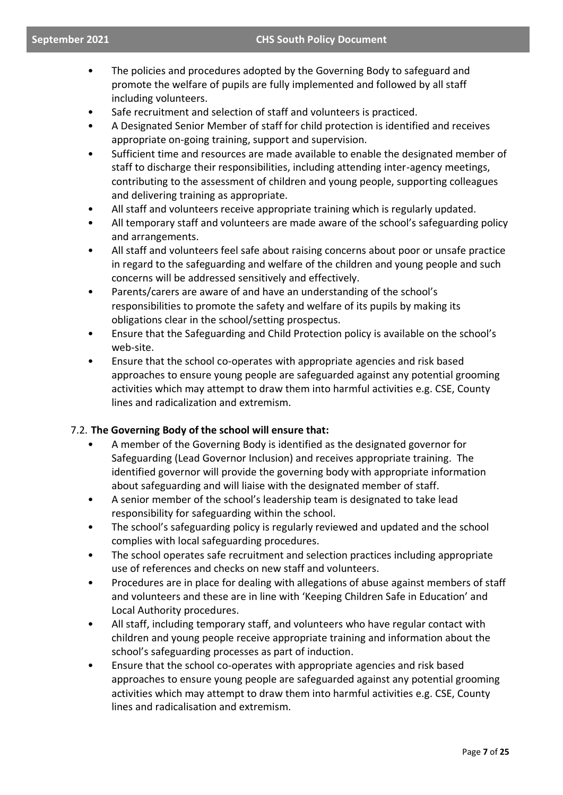- The policies and procedures adopted by the Governing Body to safeguard and promote the welfare of pupils are fully implemented and followed by all staff including volunteers.
- Safe recruitment and selection of staff and volunteers is practiced.
- A Designated Senior Member of staff for child protection is identified and receives appropriate on-going training, support and supervision.
- Sufficient time and resources are made available to enable the designated member of staff to discharge their responsibilities, including attending inter-agency meetings, contributing to the assessment of children and young people, supporting colleagues and delivering training as appropriate.
- All staff and volunteers receive appropriate training which is regularly updated.
- All temporary staff and volunteers are made aware of the school's safeguarding policy and arrangements.
- All staff and volunteers feel safe about raising concerns about poor or unsafe practice in regard to the safeguarding and welfare of the children and young people and such concerns will be addressed sensitively and effectively.
- Parents/carers are aware of and have an understanding of the school's responsibilities to promote the safety and welfare of its pupils by making its obligations clear in the school/setting prospectus.
- Ensure that the Safeguarding and Child Protection policy is available on the school's web-site.
- Ensure that the school co-operates with appropriate agencies and risk based approaches to ensure young people are safeguarded against any potential grooming activities which may attempt to draw them into harmful activities e.g. CSE, County lines and radicalization and extremism.

### 7.2. **The Governing Body of the school will ensure that:**

- A member of the Governing Body is identified as the designated governor for Safeguarding (Lead Governor Inclusion) and receives appropriate training. The identified governor will provide the governing body with appropriate information about safeguarding and will liaise with the designated member of staff.
- A senior member of the school's leadership team is designated to take lead responsibility for safeguarding within the school.
- The school's safeguarding policy is regularly reviewed and updated and the school complies with local safeguarding procedures.
- The school operates safe recruitment and selection practices including appropriate use of references and checks on new staff and volunteers.
- Procedures are in place for dealing with allegations of abuse against members of staff and volunteers and these are in line with 'Keeping Children Safe in Education' and Local Authority procedures.
- All staff, including temporary staff, and volunteers who have regular contact with children and young people receive appropriate training and information about the school's safeguarding processes as part of induction.
- Ensure that the school co-operates with appropriate agencies and risk based approaches to ensure young people are safeguarded against any potential grooming activities which may attempt to draw them into harmful activities e.g. CSE, County lines and radicalisation and extremism.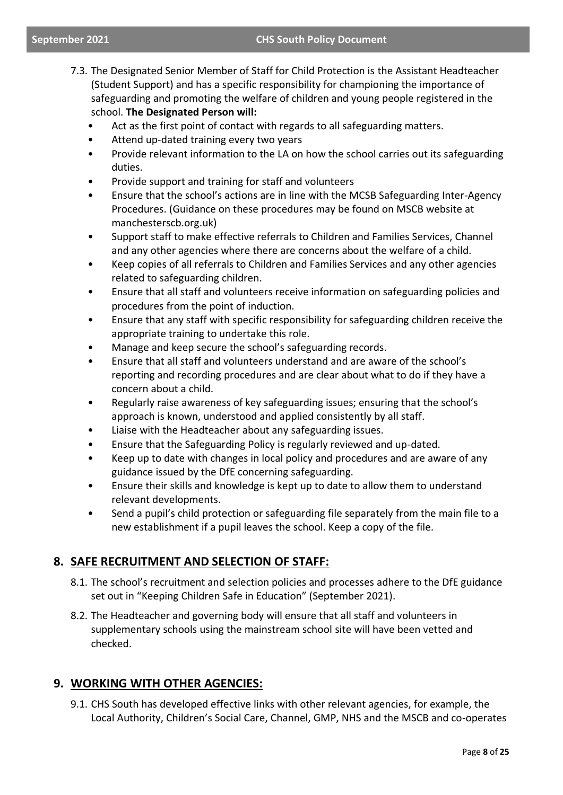- 7.3. The Designated Senior Member of Staff for Child Protection is the Assistant Headteacher (Student Support) and has a specific responsibility for championing the importance of safeguarding and promoting the welfare of children and young people registered in the school. **The Designated Person will:**
	- Act as the first point of contact with regards to all safeguarding matters.
	- Attend up-dated training every two years
	- Provide relevant information to the LA on how the school carries out its safeguarding duties.
	- Provide support and training for staff and volunteers
	- Ensure that the school's actions are in line with the MCSB Safeguarding Inter-Agency Procedures. (Guidance on these procedures may be found on MSCB website at manchesterscb.org.uk)
	- Support staff to make effective referrals to Children and Families Services, Channel and any other agencies where there are concerns about the welfare of a child.
	- Keep copies of all referrals to Children and Families Services and any other agencies related to safeguarding children.
	- Ensure that all staff and volunteers receive information on safeguarding policies and procedures from the point of induction.
	- Ensure that any staff with specific responsibility for safeguarding children receive the appropriate training to undertake this role.
	- Manage and keep secure the school's safeguarding records.
	- Ensure that all staff and volunteers understand and are aware of the school's reporting and recording procedures and are clear about what to do if they have a concern about a child.
	- Regularly raise awareness of key safeguarding issues; ensuring that the school's approach is known, understood and applied consistently by all staff.
	- Liaise with the Headteacher about any safeguarding issues.
	- Ensure that the Safeguarding Policy is regularly reviewed and up-dated.
	- Keep up to date with changes in local policy and procedures and are aware of any guidance issued by the DfE concerning safeguarding.
	- Ensure their skills and knowledge is kept up to date to allow them to understand relevant developments.
	- Send a pupil's child protection or safeguarding file separately from the main file to a new establishment if a pupil leaves the school. Keep a copy of the file.

### **8. SAFE RECRUITMENT AND SELECTION OF STAFF:**

- 8.1. The school's recruitment and selection policies and processes adhere to the DfE guidance set out in "Keeping Children Safe in Education" (September 2021).
- 8.2. The Headteacher and governing body will ensure that all staff and volunteers in supplementary schools using the mainstream school site will have been vetted and checked.

### **9. WORKING WITH OTHER AGENCIES:**

9.1. CHS South has developed effective links with other relevant agencies, for example, the Local Authority, Children's Social Care, Channel, GMP, NHS and the MSCB and co-operates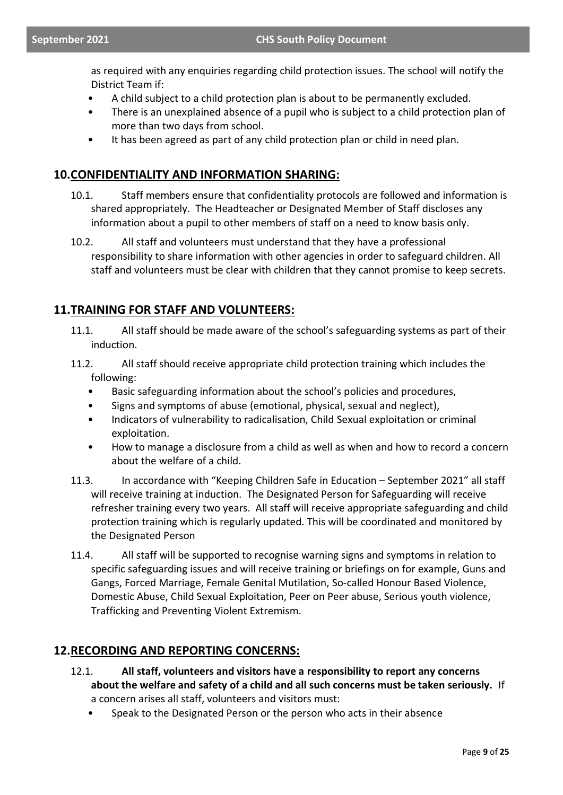as required with any enquiries regarding child protection issues. The school will notify the District Team if:

- A child subject to a child protection plan is about to be permanently excluded.
- There is an unexplained absence of a pupil who is subject to a child protection plan of more than two days from school.
- It has been agreed as part of any child protection plan or child in need plan.

### **10.CONFIDENTIALITY AND INFORMATION SHARING:**

- 10.1. Staff members ensure that confidentiality protocols are followed and information is shared appropriately. The Headteacher or Designated Member of Staff discloses any information about a pupil to other members of staff on a need to know basis only.
- 10.2. All staff and volunteers must understand that they have a professional responsibility to share information with other agencies in order to safeguard children. All staff and volunteers must be clear with children that they cannot promise to keep secrets.

### **11.TRAINING FOR STAFF AND VOLUNTEERS:**

- 11.1. All staff should be made aware of the school's safeguarding systems as part of their induction.
- 11.2. All staff should receive appropriate child protection training which includes the following:
	- Basic safeguarding information about the school's policies and procedures,
	- Signs and symptoms of abuse (emotional, physical, sexual and neglect),
	- Indicators of vulnerability to radicalisation, Child Sexual exploitation or criminal exploitation.
	- How to manage a disclosure from a child as well as when and how to record a concern about the welfare of a child.
- 11.3. In accordance with "Keeping Children Safe in Education September 2021" all staff will receive training at induction. The Designated Person for Safeguarding will receive refresher training every two years. All staff will receive appropriate safeguarding and child protection training which is regularly updated. This will be coordinated and monitored by the Designated Person
- 11.4. All staff will be supported to recognise warning signs and symptoms in relation to specific safeguarding issues and will receive training or briefings on for example, Guns and Gangs, Forced Marriage, Female Genital Mutilation, So-called Honour Based Violence, Domestic Abuse, Child Sexual Exploitation, Peer on Peer abuse, Serious youth violence, Trafficking and Preventing Violent Extremism.

### **12.RECORDING AND REPORTING CONCERNS:**

- 12.1. **All staff, volunteers and visitors have a responsibility to report any concerns about the welfare and safety of a child and all such concerns must be taken seriously.** If a concern arises all staff, volunteers and visitors must:
	- Speak to the Designated Person or the person who acts in their absence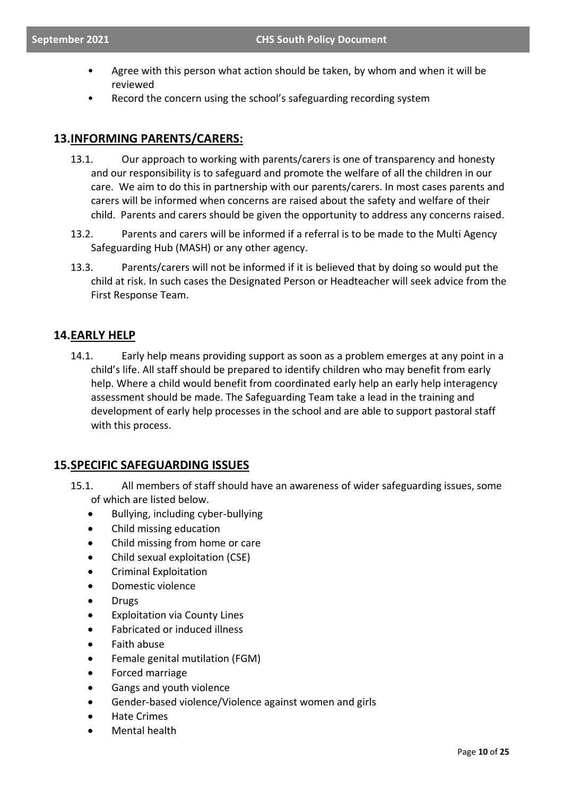- Agree with this person what action should be taken, by whom and when it will be reviewed
- Record the concern using the school's safeguarding recording system

### **13.INFORMING PARENTS/CARERS:**

- 13.1. Our approach to working with parents/carers is one of transparency and honesty and our responsibility is to safeguard and promote the welfare of all the children in our care. We aim to do this in partnership with our parents/carers. In most cases parents and carers will be informed when concerns are raised about the safety and welfare of their child. Parents and carers should be given the opportunity to address any concerns raised.
- 13.2. Parents and carers will be informed if a referral is to be made to the Multi Agency Safeguarding Hub (MASH) or any other agency.
- 13.3. Parents/carers will not be informed if it is believed that by doing so would put the child at risk. In such cases the Designated Person or Headteacher will seek advice from the First Response Team.

### **14.EARLY HELP**

14.1. Early help means providing support as soon as a problem emerges at any point in a child's life. All staff should be prepared to identify children who may benefit from early help. Where a child would benefit from coordinated early help an early help interagency assessment should be made. The Safeguarding Team take a lead in the training and development of early help processes in the school and are able to support pastoral staff with this process.

### **15.SPECIFIC SAFEGUARDING ISSUES**

- 15.1. All members of staff should have an awareness of wider safeguarding issues, some of which are listed below.
	- Bullying, including cyber-bullying
	- Child missing education
	- Child missing from home or care
	- Child sexual exploitation (CSE)
	- Criminal Exploitation
	- Domestic violence
	- Drugs
	- **Exploitation via County Lines**
	- Fabricated or induced illness
	- Faith abuse
	- Female genital mutilation (FGM)
	- Forced marriage
	- Gangs and youth violence
	- Gender-based violence/Violence against women and girls
	- Hate Crimes
	- Mental health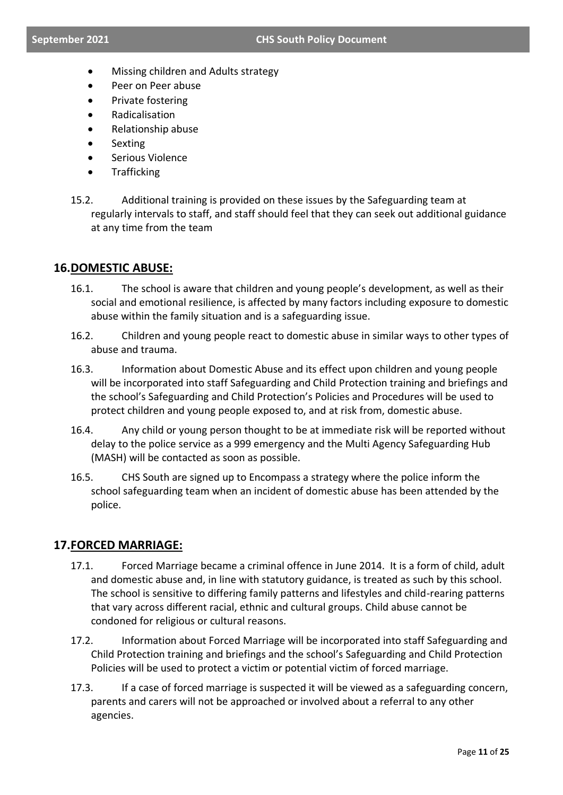- Missing children and Adults strategy
- Peer on Peer abuse
- Private fostering
- Radicalisation
- Relationship abuse
- **Sexting**
- Serious Violence
- **Trafficking**
- 15.2. Additional training is provided on these issues by the Safeguarding team at regularly intervals to staff, and staff should feel that they can seek out additional guidance at any time from the team

### **16.DOMESTIC ABUSE:**

- 16.1. The school is aware that children and young people's development, as well as their social and emotional resilience, is affected by many factors including exposure to domestic abuse within the family situation and is a safeguarding issue.
- 16.2. Children and young people react to domestic abuse in similar ways to other types of abuse and trauma.
- 16.3. Information about Domestic Abuse and its effect upon children and young people will be incorporated into staff Safeguarding and Child Protection training and briefings and the school's Safeguarding and Child Protection's Policies and Procedures will be used to protect children and young people exposed to, and at risk from, domestic abuse.
- 16.4. Any child or young person thought to be at immediate risk will be reported without delay to the police service as a 999 emergency and the Multi Agency Safeguarding Hub (MASH) will be contacted as soon as possible.
- 16.5. CHS South are signed up to Encompass a strategy where the police inform the school safeguarding team when an incident of domestic abuse has been attended by the police.

### **17.FORCED MARRIAGE:**

- 17.1. Forced Marriage became a criminal offence in June 2014. It is a form of child, adult and domestic abuse and, in line with statutory guidance, is treated as such by this school. The school is sensitive to differing family patterns and lifestyles and child-rearing patterns that vary across different racial, ethnic and cultural groups. Child abuse cannot be condoned for religious or cultural reasons.
- 17.2. Information about Forced Marriage will be incorporated into staff Safeguarding and Child Protection training and briefings and the school's Safeguarding and Child Protection Policies will be used to protect a victim or potential victim of forced marriage.
- 17.3. If a case of forced marriage is suspected it will be viewed as a safeguarding concern, parents and carers will not be approached or involved about a referral to any other agencies.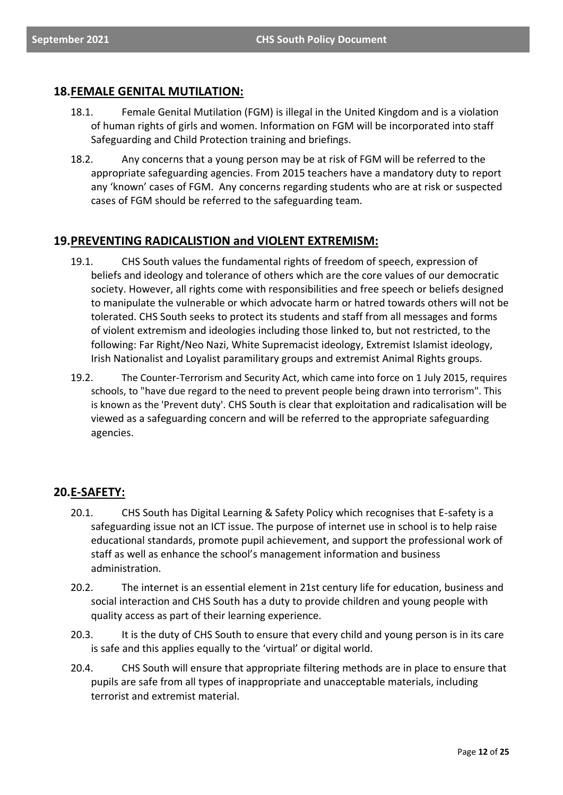### **18.FEMALE GENITAL MUTILATION:**

- 18.1. Female Genital Mutilation (FGM) is illegal in the United Kingdom and is a violation of human rights of girls and women. Information on FGM will be incorporated into staff Safeguarding and Child Protection training and briefings.
- 18.2. Any concerns that a young person may be at risk of FGM will be referred to the appropriate safeguarding agencies. From 2015 teachers have a mandatory duty to report any 'known' cases of FGM. Any concerns regarding students who are at risk or suspected cases of FGM should be referred to the safeguarding team.

### **19.PREVENTING RADICALISTION and VIOLENT EXTREMISM:**

- 19.1. CHS South values the fundamental rights of freedom of speech, expression of beliefs and ideology and tolerance of others which are the core values of our democratic society. However, all rights come with responsibilities and free speech or beliefs designed to manipulate the vulnerable or which advocate harm or hatred towards others will not be tolerated. CHS South seeks to protect its students and staff from all messages and forms of violent extremism and ideologies including those linked to, but not restricted, to the following: Far Right/Neo Nazi, White Supremacist ideology, Extremist Islamist ideology, Irish Nationalist and Loyalist paramilitary groups and extremist Animal Rights groups.
- 19.2. The Counter-Terrorism and Security Act, which came into force on 1 July 2015, requires schools, to "have due regard to the need to prevent people being drawn into terrorism". This is known as the 'Prevent duty'. CHS South is clear that exploitation and radicalisation will be viewed as a safeguarding concern and will be referred to the appropriate safeguarding agencies.

### **20.E-SAFETY:**

- 20.1. CHS South has Digital Learning & Safety Policy which recognises that E-safety is a safeguarding issue not an ICT issue. The purpose of internet use in school is to help raise educational standards, promote pupil achievement, and support the professional work of staff as well as enhance the school's management information and business administration.
- 20.2. The internet is an essential element in 21st century life for education, business and social interaction and CHS South has a duty to provide children and young people with quality access as part of their learning experience.
- 20.3. It is the duty of CHS South to ensure that every child and young person is in its care is safe and this applies equally to the 'virtual' or digital world.
- 20.4. CHS South will ensure that appropriate filtering methods are in place to ensure that pupils are safe from all types of inappropriate and unacceptable materials, including terrorist and extremist material.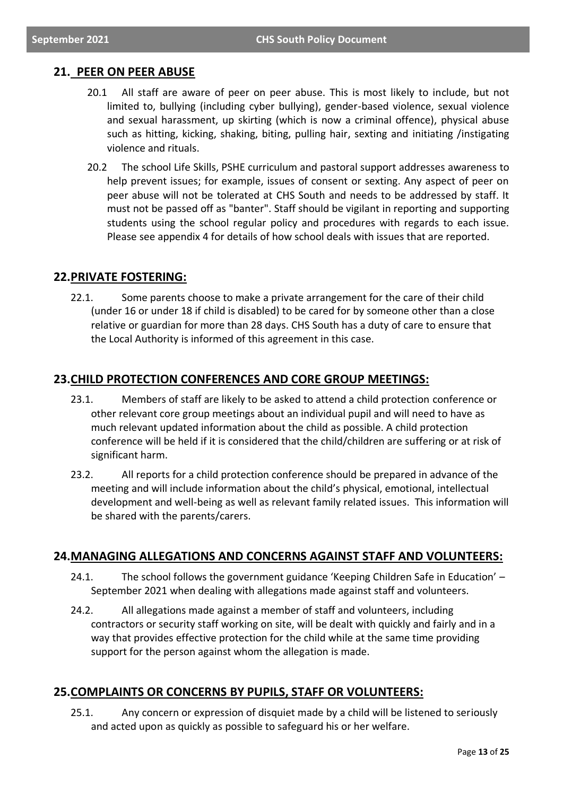### **21. PEER ON PEER ABUSE**

- 20.1 All staff are aware of peer on peer abuse. This is most likely to include, but not limited to, bullying (including cyber bullying), gender-based violence, sexual violence and sexual harassment, up skirting (which is now a criminal offence), physical abuse such as hitting, kicking, shaking, biting, pulling hair, sexting and initiating /instigating violence and rituals.
- 20.2 The school Life Skills, PSHE curriculum and pastoral support addresses awareness to help prevent issues; for example, issues of consent or sexting. Any aspect of peer on peer abuse will not be tolerated at CHS South and needs to be addressed by staff. It must not be passed off as "banter". Staff should be vigilant in reporting and supporting students using the school regular policy and procedures with regards to each issue. Please see appendix 4 for details of how school deals with issues that are reported.

### **22.PRIVATE FOSTERING:**

22.1. Some parents choose to make a private arrangement for the care of their child (under 16 or under 18 if child is disabled) to be cared for by someone other than a close relative or guardian for more than 28 days. CHS South has a duty of care to ensure that the Local Authority is informed of this agreement in this case.

### **23.CHILD PROTECTION CONFERENCES AND CORE GROUP MEETINGS:**

- 23.1. Members of staff are likely to be asked to attend a child protection conference or other relevant core group meetings about an individual pupil and will need to have as much relevant updated information about the child as possible. A child protection conference will be held if it is considered that the child/children are suffering or at risk of significant harm.
- 23.2. All reports for a child protection conference should be prepared in advance of the meeting and will include information about the child's physical, emotional, intellectual development and well-being as well as relevant family related issues. This information will be shared with the parents/carers.

### **24.MANAGING ALLEGATIONS AND CONCERNS AGAINST STAFF AND VOLUNTEERS:**

- 24.1. The school follows the government guidance 'Keeping Children Safe in Education' September 2021 when dealing with allegations made against staff and volunteers.
- 24.2. All allegations made against a member of staff and volunteers, including contractors or security staff working on site, will be dealt with quickly and fairly and in a way that provides effective protection for the child while at the same time providing support for the person against whom the allegation is made.

### **25.COMPLAINTS OR CONCERNS BY PUPILS, STAFF OR VOLUNTEERS:**

25.1. Any concern or expression of disquiet made by a child will be listened to seriously and acted upon as quickly as possible to safeguard his or her welfare.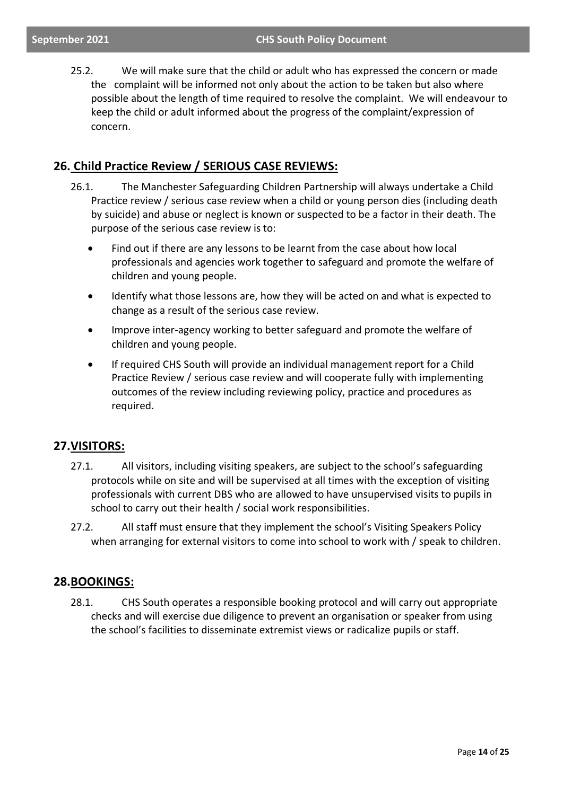25.2. We will make sure that the child or adult who has expressed the concern or made the complaint will be informed not only about the action to be taken but also where possible about the length of time required to resolve the complaint. We will endeavour to keep the child or adult informed about the progress of the complaint/expression of concern.

### **26. Child Practice Review / SERIOUS CASE REVIEWS:**

- 26.1. The Manchester Safeguarding Children Partnership will always undertake a Child Practice review / serious case review when a child or young person dies (including death by suicide) and abuse or neglect is known or suspected to be a factor in their death. The purpose of the serious case review is to:
	- Find out if there are any lessons to be learnt from the case about how local professionals and agencies work together to safeguard and promote the welfare of children and young people.
	- Identify what those lessons are, how they will be acted on and what is expected to change as a result of the serious case review.
	- Improve inter-agency working to better safeguard and promote the welfare of children and young people.
	- If required CHS South will provide an individual management report for a Child Practice Review / serious case review and will cooperate fully with implementing outcomes of the review including reviewing policy, practice and procedures as required.

### **27.VISITORS:**

- 27.1. All visitors, including visiting speakers, are subject to the school's safeguarding protocols while on site and will be supervised at all times with the exception of visiting professionals with current DBS who are allowed to have unsupervised visits to pupils in school to carry out their health / social work responsibilities.
- 27.2. All staff must ensure that they implement the school's Visiting Speakers Policy when arranging for external visitors to come into school to work with / speak to children.

### **28.BOOKINGS:**

28.1. CHS South operates a responsible booking protocol and will carry out appropriate checks and will exercise due diligence to prevent an organisation or speaker from using the school's facilities to disseminate extremist views or radicalize pupils or staff.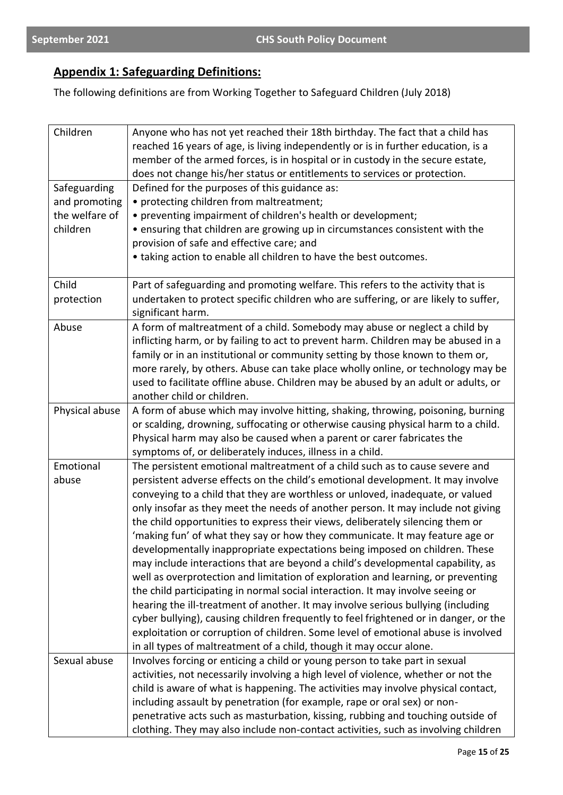### **Appendix 1: Safeguarding Definitions:**

The following definitions are from Working Together to Safeguard Children (July 2018)

| Children       | Anyone who has not yet reached their 18th birthday. The fact that a child has        |
|----------------|--------------------------------------------------------------------------------------|
|                | reached 16 years of age, is living independently or is in further education, is a    |
|                | member of the armed forces, is in hospital or in custody in the secure estate,       |
|                | does not change his/her status or entitlements to services or protection.            |
| Safeguarding   | Defined for the purposes of this guidance as:                                        |
| and promoting  | • protecting children from maltreatment;                                             |
| the welfare of | • preventing impairment of children's health or development;                         |
| children       | • ensuring that children are growing up in circumstances consistent with the         |
|                | provision of safe and effective care; and                                            |
|                | • taking action to enable all children to have the best outcomes.                    |
|                |                                                                                      |
| Child          | Part of safeguarding and promoting welfare. This refers to the activity that is      |
| protection     | undertaken to protect specific children who are suffering, or are likely to suffer,  |
|                | significant harm.                                                                    |
| Abuse          | A form of maltreatment of a child. Somebody may abuse or neglect a child by          |
|                | inflicting harm, or by failing to act to prevent harm. Children may be abused in a   |
|                | family or in an institutional or community setting by those known to them or,        |
|                | more rarely, by others. Abuse can take place wholly online, or technology may be     |
|                | used to facilitate offline abuse. Children may be abused by an adult or adults, or   |
|                | another child or children.                                                           |
| Physical abuse | A form of abuse which may involve hitting, shaking, throwing, poisoning, burning     |
|                | or scalding, drowning, suffocating or otherwise causing physical harm to a child.    |
|                | Physical harm may also be caused when a parent or carer fabricates the               |
|                | symptoms of, or deliberately induces, illness in a child.                            |
| Emotional      | The persistent emotional maltreatment of a child such as to cause severe and         |
| abuse          | persistent adverse effects on the child's emotional development. It may involve      |
|                | conveying to a child that they are worthless or unloved, inadequate, or valued       |
|                | only insofar as they meet the needs of another person. It may include not giving     |
|                | the child opportunities to express their views, deliberately silencing them or       |
|                | 'making fun' of what they say or how they communicate. It may feature age or         |
|                | developmentally inappropriate expectations being imposed on children. These          |
|                | may include interactions that are beyond a child's developmental capability, as      |
|                | well as overprotection and limitation of exploration and learning, or preventing     |
|                | the child participating in normal social interaction. It may involve seeing or       |
|                | hearing the ill-treatment of another. It may involve serious bullying (including     |
|                | cyber bullying), causing children frequently to feel frightened or in danger, or the |
|                | exploitation or corruption of children. Some level of emotional abuse is involved    |
|                | in all types of maltreatment of a child, though it may occur alone.                  |
| Sexual abuse   | Involves forcing or enticing a child or young person to take part in sexual          |
|                | activities, not necessarily involving a high level of violence, whether or not the   |
|                | child is aware of what is happening. The activities may involve physical contact,    |
|                | including assault by penetration (for example, rape or oral sex) or non-             |
|                | penetrative acts such as masturbation, kissing, rubbing and touching outside of      |
|                | clothing. They may also include non-contact activities, such as involving children   |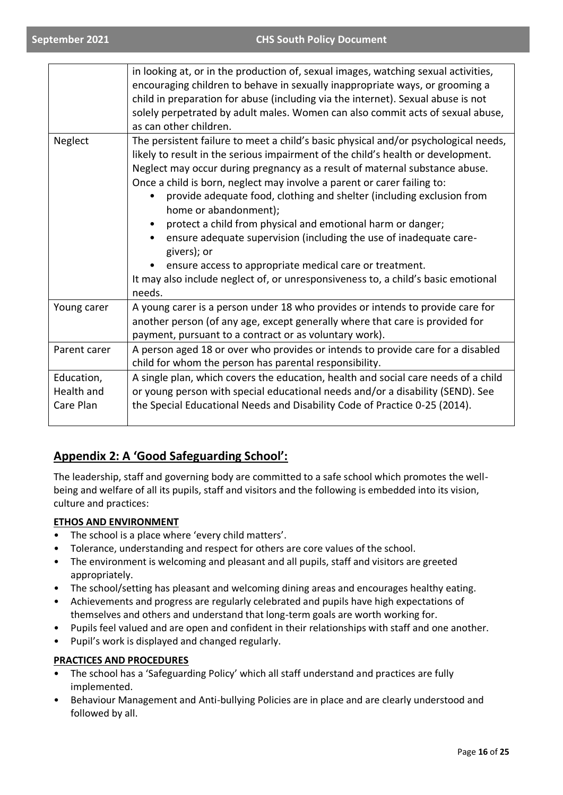|                                       | in looking at, or in the production of, sexual images, watching sexual activities,<br>encouraging children to behave in sexually inappropriate ways, or grooming a<br>child in preparation for abuse (including via the internet). Sexual abuse is not<br>solely perpetrated by adult males. Women can also commit acts of sexual abuse,<br>as can other children.                                                                                                                                                                                                                                                                                                                                                                                |
|---------------------------------------|---------------------------------------------------------------------------------------------------------------------------------------------------------------------------------------------------------------------------------------------------------------------------------------------------------------------------------------------------------------------------------------------------------------------------------------------------------------------------------------------------------------------------------------------------------------------------------------------------------------------------------------------------------------------------------------------------------------------------------------------------|
| Neglect                               | The persistent failure to meet a child's basic physical and/or psychological needs,<br>likely to result in the serious impairment of the child's health or development.<br>Neglect may occur during pregnancy as a result of maternal substance abuse.<br>Once a child is born, neglect may involve a parent or carer failing to:<br>provide adequate food, clothing and shelter (including exclusion from<br>home or abandonment);<br>protect a child from physical and emotional harm or danger;<br>ensure adequate supervision (including the use of inadequate care-<br>givers); or<br>ensure access to appropriate medical care or treatment.<br>It may also include neglect of, or unresponsiveness to, a child's basic emotional<br>needs. |
| Young carer                           | A young carer is a person under 18 who provides or intends to provide care for<br>another person (of any age, except generally where that care is provided for<br>payment, pursuant to a contract or as voluntary work).                                                                                                                                                                                                                                                                                                                                                                                                                                                                                                                          |
| Parent carer                          | A person aged 18 or over who provides or intends to provide care for a disabled<br>child for whom the person has parental responsibility.                                                                                                                                                                                                                                                                                                                                                                                                                                                                                                                                                                                                         |
| Education,<br>Health and<br>Care Plan | A single plan, which covers the education, health and social care needs of a child<br>or young person with special educational needs and/or a disability (SEND). See<br>the Special Educational Needs and Disability Code of Practice 0-25 (2014).                                                                                                                                                                                                                                                                                                                                                                                                                                                                                                |

### **Appendix 2: A 'Good Safeguarding School':**

The leadership, staff and governing body are committed to a safe school which promotes the wellbeing and welfare of all its pupils, staff and visitors and the following is embedded into its vision, culture and practices:

### **ETHOS AND ENVIRONMENT**

- The school is a place where 'every child matters'.
- Tolerance, understanding and respect for others are core values of the school.
- The environment is welcoming and pleasant and all pupils, staff and visitors are greeted appropriately.
- The school/setting has pleasant and welcoming dining areas and encourages healthy eating.
- Achievements and progress are regularly celebrated and pupils have high expectations of themselves and others and understand that long-term goals are worth working for.
- Pupils feel valued and are open and confident in their relationships with staff and one another.
- Pupil's work is displayed and changed regularly.

### **PRACTICES AND PROCEDURES**

- The school has a 'Safeguarding Policy' which all staff understand and practices are fully implemented.
- Behaviour Management and Anti-bullying Policies are in place and are clearly understood and followed by all.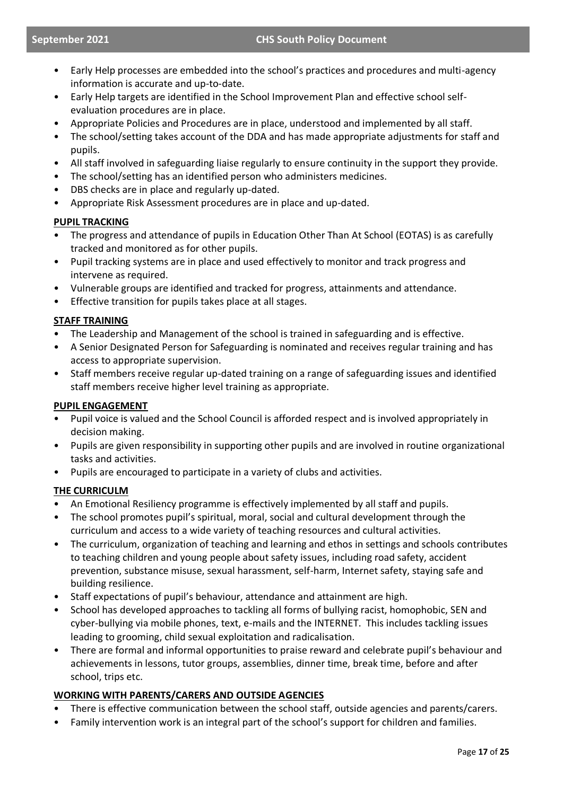- Early Help processes are embedded into the school's practices and procedures and multi-agency information is accurate and up-to-date.
- Early Help targets are identified in the School Improvement Plan and effective school selfevaluation procedures are in place.
- Appropriate Policies and Procedures are in place, understood and implemented by all staff.
- The school/setting takes account of the DDA and has made appropriate adjustments for staff and pupils.
- All staff involved in safeguarding liaise regularly to ensure continuity in the support they provide.
- The school/setting has an identified person who administers medicines.
- DBS checks are in place and regularly up-dated.
- Appropriate Risk Assessment procedures are in place and up-dated.

### **PUPIL TRACKING**

- The progress and attendance of pupils in Education Other Than At School (EOTAS) is as carefully tracked and monitored as for other pupils.
- Pupil tracking systems are in place and used effectively to monitor and track progress and intervene as required.
- Vulnerable groups are identified and tracked for progress, attainments and attendance.
- Effective transition for pupils takes place at all stages.

### **STAFF TRAINING**

- The Leadership and Management of the school is trained in safeguarding and is effective.
- A Senior Designated Person for Safeguarding is nominated and receives regular training and has access to appropriate supervision.
- Staff members receive regular up-dated training on a range of safeguarding issues and identified staff members receive higher level training as appropriate.

### **PUPIL ENGAGEMENT**

- Pupil voice is valued and the School Council is afforded respect and is involved appropriately in decision making.
- Pupils are given responsibility in supporting other pupils and are involved in routine organizational tasks and activities.
- Pupils are encouraged to participate in a variety of clubs and activities.

### **THE CURRICULM**

- An Emotional Resiliency programme is effectively implemented by all staff and pupils.
- The school promotes pupil's spiritual, moral, social and cultural development through the curriculum and access to a wide variety of teaching resources and cultural activities.
- The curriculum, organization of teaching and learning and ethos in settings and schools contributes to teaching children and young people about safety issues, including road safety, accident prevention, substance misuse, sexual harassment, self-harm, Internet safety, staying safe and building resilience.
- Staff expectations of pupil's behaviour, attendance and attainment are high.
- School has developed approaches to tackling all forms of bullying racist, homophobic, SEN and cyber-bullying via mobile phones, text, e-mails and the INTERNET. This includes tackling issues leading to grooming, child sexual exploitation and radicalisation.
- There are formal and informal opportunities to praise reward and celebrate pupil's behaviour and achievements in lessons, tutor groups, assemblies, dinner time, break time, before and after school, trips etc.

### **WORKING WITH PARENTS/CARERS AND OUTSIDE AGENCIES**

- There is effective communication between the school staff, outside agencies and parents/carers.
- Family intervention work is an integral part of the school's support for children and families.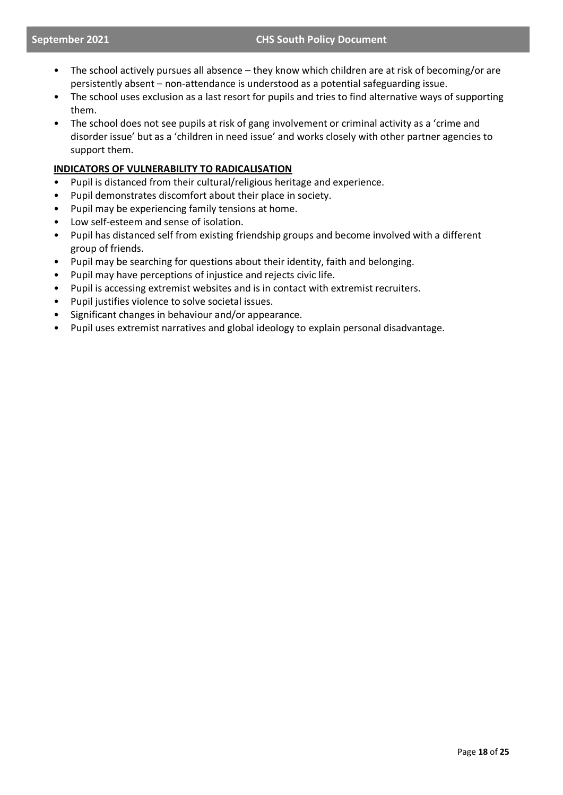- The school actively pursues all absence they know which children are at risk of becoming/or are persistently absent – non-attendance is understood as a potential safeguarding issue.
- The school uses exclusion as a last resort for pupils and tries to find alternative ways of supporting them.
- The school does not see pupils at risk of gang involvement or criminal activity as a 'crime and disorder issue' but as a 'children in need issue' and works closely with other partner agencies to support them.

### **INDICATORS OF VULNERABILITY TO RADICALISATION**

- Pupil is distanced from their cultural/religious heritage and experience.
- Pupil demonstrates discomfort about their place in society.
- Pupil may be experiencing family tensions at home.
- Low self-esteem and sense of isolation.
- Pupil has distanced self from existing friendship groups and become involved with a different group of friends.
- Pupil may be searching for questions about their identity, faith and belonging.
- Pupil may have perceptions of injustice and rejects civic life.
- Pupil is accessing extremist websites and is in contact with extremist recruiters.
- Pupil justifies violence to solve societal issues.
- Significant changes in behaviour and/or appearance.
- Pupil uses extremist narratives and global ideology to explain personal disadvantage.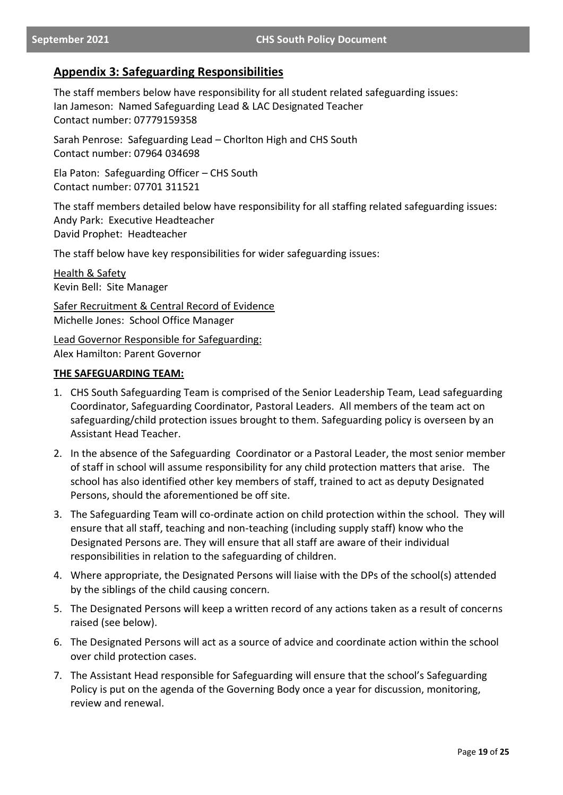### **Appendix 3: Safeguarding Responsibilities**

The staff members below have responsibility for all student related safeguarding issues: Ian Jameson: Named Safeguarding Lead & LAC Designated Teacher Contact number: 07779159358

Sarah Penrose: Safeguarding Lead – Chorlton High and CHS South Contact number: 07964 034698

Ela Paton: Safeguarding Officer – CHS South Contact number: 07701 311521

The staff members detailed below have responsibility for all staffing related safeguarding issues: Andy Park: Executive Headteacher David Prophet: Headteacher

The staff below have key responsibilities for wider safeguarding issues:

Health & Safety Kevin Bell: Site Manager

Safer Recruitment & Central Record of Evidence Michelle Jones: School Office Manager

Lead Governor Responsible for Safeguarding: Alex Hamilton: Parent Governor

### **THE SAFEGUARDING TEAM:**

- 1. CHS South Safeguarding Team is comprised of the Senior Leadership Team, Lead safeguarding Coordinator, Safeguarding Coordinator, Pastoral Leaders. All members of the team act on safeguarding/child protection issues brought to them. Safeguarding policy is overseen by an Assistant Head Teacher.
- 2. In the absence of the Safeguarding Coordinator or a Pastoral Leader, the most senior member of staff in school will assume responsibility for any child protection matters that arise. The school has also identified other key members of staff, trained to act as deputy Designated Persons, should the aforementioned be off site.
- 3. The Safeguarding Team will co-ordinate action on child protection within the school. They will ensure that all staff, teaching and non-teaching (including supply staff) know who the Designated Persons are. They will ensure that all staff are aware of their individual responsibilities in relation to the safeguarding of children.
- 4. Where appropriate, the Designated Persons will liaise with the DPs of the school(s) attended by the siblings of the child causing concern.
- 5. The Designated Persons will keep a written record of any actions taken as a result of concerns raised (see below).
- 6. The Designated Persons will act as a source of advice and coordinate action within the school over child protection cases.
- 7. The Assistant Head responsible for Safeguarding will ensure that the school's Safeguarding Policy is put on the agenda of the Governing Body once a year for discussion, monitoring, review and renewal.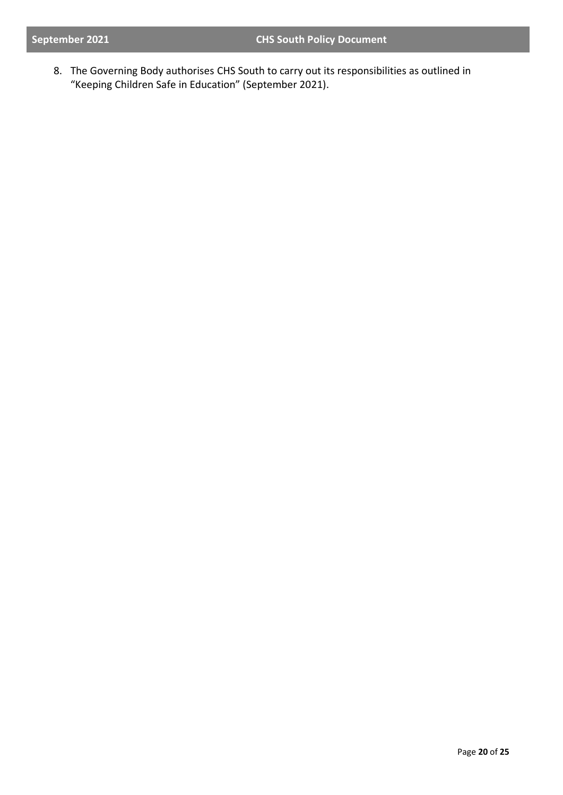8. The Governing Body authorises CHS South to carry out its responsibilities as outlined in "Keeping Children Safe in Education" (September 2021).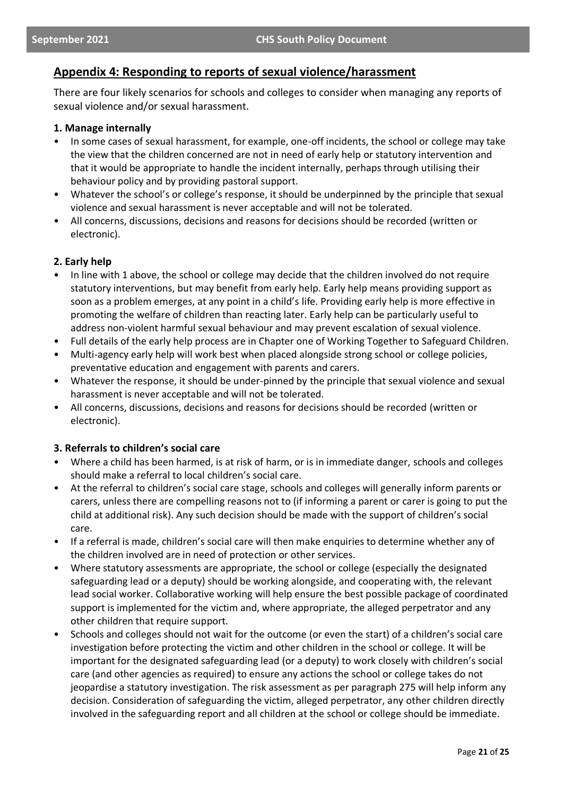### **Appendix 4: Responding to reports of sexual violence/harassment**

There are four likely scenarios for schools and colleges to consider when managing any reports of sexual violence and/or sexual harassment.

#### **1. Manage internally**

- In some cases of sexual harassment, for example, one-off incidents, the school or college may take the view that the children concerned are not in need of early help or statutory intervention and that it would be appropriate to handle the incident internally, perhaps through utilising their behaviour policy and by providing pastoral support.
- Whatever the school's or college's response, it should be underpinned by the principle that sexual violence and sexual harassment is never acceptable and will not be tolerated.
- All concerns, discussions, decisions and reasons for decisions should be recorded (written or electronic).

### **2. Early help**

- In line with 1 above, the school or college may decide that the children involved do not require statutory interventions, but may benefit from early help. Early help means providing support as soon as a problem emerges, at any point in a child's life. Providing early help is more effective in promoting the welfare of children than reacting later. Early help can be particularly useful to address non-violent harmful sexual behaviour and may prevent escalation of sexual violence.
- Full details of the early help process are in Chapter one of Working Together to Safeguard Children.
- Multi-agency early help will work best when placed alongside strong school or college policies, preventative education and engagement with parents and carers.
- Whatever the response, it should be under-pinned by the principle that sexual violence and sexual harassment is never acceptable and will not be tolerated.
- All concerns, discussions, decisions and reasons for decisions should be recorded (written or electronic).

### **3. Referrals to children's social care**

- Where a child has been harmed, is at risk of harm, or is in immediate danger, schools and colleges should make a referral to local children's social care.
- At the referral to children's social care stage, schools and colleges will generally inform parents or carers, unless there are compelling reasons not to (if informing a parent or carer is going to put the child at additional risk). Any such decision should be made with the support of children's social care.
- If a referral is made, children's social care will then make enquiries to determine whether any of the children involved are in need of protection or other services.
- Where statutory assessments are appropriate, the school or college (especially the designated safeguarding lead or a deputy) should be working alongside, and cooperating with, the relevant lead social worker. Collaborative working will help ensure the best possible package of coordinated support is implemented for the victim and, where appropriate, the alleged perpetrator and any other children that require support.
- Schools and colleges should not wait for the outcome (or even the start) of a children's social care investigation before protecting the victim and other children in the school or college. It will be important for the designated safeguarding lead (or a deputy) to work closely with children's social care (and other agencies as required) to ensure any actions the school or college takes do not jeopardise a statutory investigation. The risk assessment as per paragraph 275 will help inform any decision. Consideration of safeguarding the victim, alleged perpetrator, any other children directly involved in the safeguarding report and all children at the school or college should be immediate.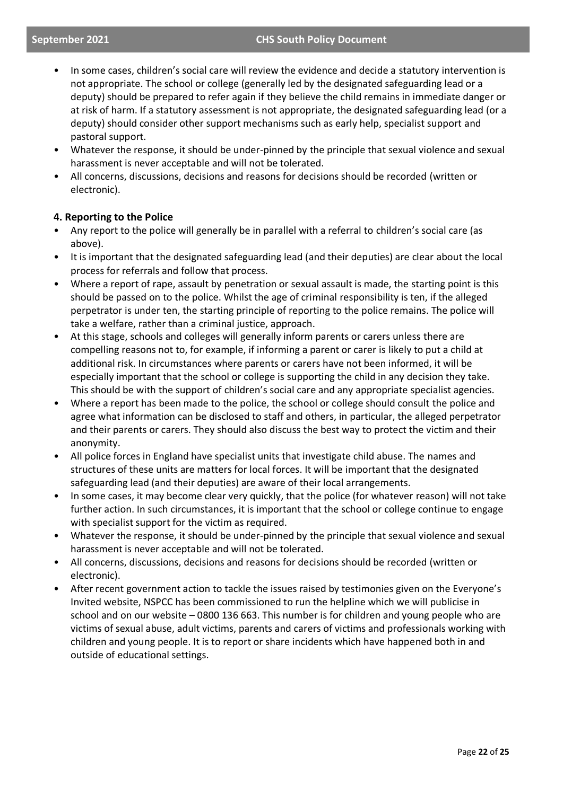#### **September 2021 CHS South Policy Document**

- In some cases, children's social care will review the evidence and decide a statutory intervention is not appropriate. The school or college (generally led by the designated safeguarding lead or a deputy) should be prepared to refer again if they believe the child remains in immediate danger or at risk of harm. If a statutory assessment is not appropriate, the designated safeguarding lead (or a deputy) should consider other support mechanisms such as early help, specialist support and pastoral support.
- Whatever the response, it should be under-pinned by the principle that sexual violence and sexual harassment is never acceptable and will not be tolerated.
- All concerns, discussions, decisions and reasons for decisions should be recorded (written or electronic).

### **4. Reporting to the Police**

- Any report to the police will generally be in parallel with a referral to children's social care (as above).
- It is important that the designated safeguarding lead (and their deputies) are clear about the local process for referrals and follow that process.
- Where a report of rape, assault by penetration or sexual assault is made, the starting point is this should be passed on to the police. Whilst the age of criminal responsibility is ten, if the alleged perpetrator is under ten, the starting principle of reporting to the police remains. The police will take a welfare, rather than a criminal justice, approach.
- At this stage, schools and colleges will generally inform parents or carers unless there are compelling reasons not to, for example, if informing a parent or carer is likely to put a child at additional risk. In circumstances where parents or carers have not been informed, it will be especially important that the school or college is supporting the child in any decision they take. This should be with the support of children's social care and any appropriate specialist agencies.
- Where a report has been made to the police, the school or college should consult the police and agree what information can be disclosed to staff and others, in particular, the alleged perpetrator and their parents or carers. They should also discuss the best way to protect the victim and their anonymity.
- All police forces in England have specialist units that investigate child abuse. The names and structures of these units are matters for local forces. It will be important that the designated safeguarding lead (and their deputies) are aware of their local arrangements.
- In some cases, it may become clear very quickly, that the police (for whatever reason) will not take further action. In such circumstances, it is important that the school or college continue to engage with specialist support for the victim as required.
- Whatever the response, it should be under-pinned by the principle that sexual violence and sexual harassment is never acceptable and will not be tolerated.
- All concerns, discussions, decisions and reasons for decisions should be recorded (written or electronic).
- After recent government action to tackle the issues raised by testimonies given on the Everyone's Invited website, NSPCC has been commissioned to run the helpline which we will publicise in school and on our website – 0800 136 663. This number is for children and young people who are victims of sexual abuse, adult victims, parents and carers of victims and professionals working with children and young people. It is to report or share incidents which have happened both in and outside of educational settings.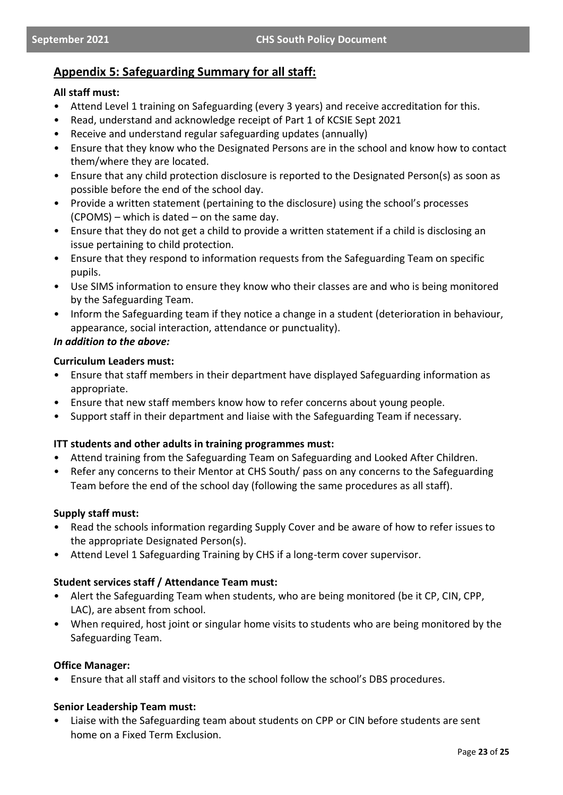### **Appendix 5: Safeguarding Summary for all staff:**

### **All staff must:**

- Attend Level 1 training on Safeguarding (every 3 years) and receive accreditation for this.
- Read, understand and acknowledge receipt of Part 1 of KCSIE Sept 2021
- Receive and understand regular safeguarding updates (annually)
- Ensure that they know who the Designated Persons are in the school and know how to contact them/where they are located.
- Ensure that any child protection disclosure is reported to the Designated Person(s) as soon as possible before the end of the school day.
- Provide a written statement (pertaining to the disclosure) using the school's processes (CPOMS) – which is dated – on the same day.
- Ensure that they do not get a child to provide a written statement if a child is disclosing an issue pertaining to child protection.
- Ensure that they respond to information requests from the Safeguarding Team on specific pupils.
- Use SIMS information to ensure they know who their classes are and who is being monitored by the Safeguarding Team.
- Inform the Safeguarding team if they notice a change in a student (deterioration in behaviour, appearance, social interaction, attendance or punctuality).

### *In addition to the above:*

### **Curriculum Leaders must:**

- Ensure that staff members in their department have displayed Safeguarding information as appropriate.
- Ensure that new staff members know how to refer concerns about young people.
- Support staff in their department and liaise with the Safeguarding Team if necessary.

### **ITT students and other adults in training programmes must:**

- Attend training from the Safeguarding Team on Safeguarding and Looked After Children.
- Refer any concerns to their Mentor at CHS South/ pass on any concerns to the Safeguarding Team before the end of the school day (following the same procedures as all staff).

### **Supply staff must:**

- Read the schools information regarding Supply Cover and be aware of how to refer issues to the appropriate Designated Person(s).
- Attend Level 1 Safeguarding Training by CHS if a long-term cover supervisor.

### **Student services staff / Attendance Team must:**

- Alert the Safeguarding Team when students, who are being monitored (be it CP, CIN, CPP, LAC), are absent from school.
- When required, host joint or singular home visits to students who are being monitored by the Safeguarding Team.

### **Office Manager:**

• Ensure that all staff and visitors to the school follow the school's DBS procedures.

### **Senior Leadership Team must:**

• Liaise with the Safeguarding team about students on CPP or CIN before students are sent home on a Fixed Term Exclusion.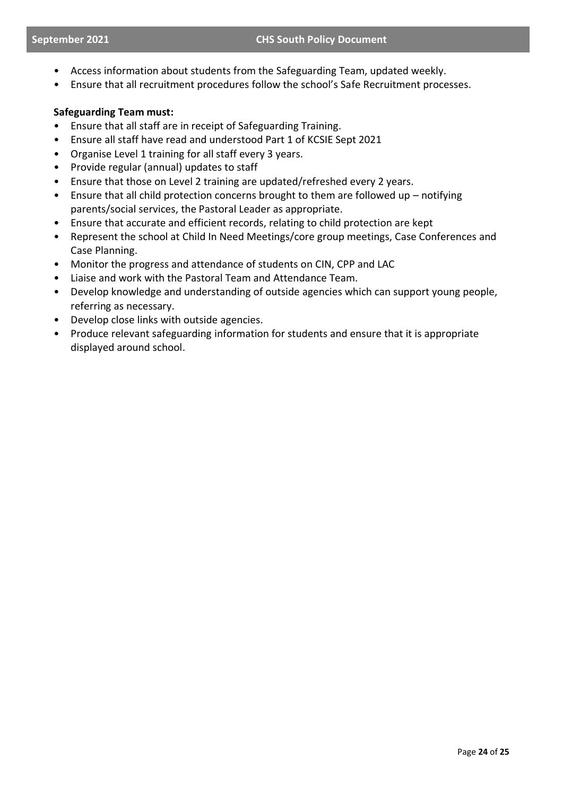- Access information about students from the Safeguarding Team, updated weekly.
- Ensure that all recruitment procedures follow the school's Safe Recruitment processes.

### **Safeguarding Team must:**

- Ensure that all staff are in receipt of Safeguarding Training.
- Ensure all staff have read and understood Part 1 of KCSIE Sept 2021
- Organise Level 1 training for all staff every 3 years.
- Provide regular (annual) updates to staff
- Ensure that those on Level 2 training are updated/refreshed every 2 years.
- Ensure that all child protection concerns brought to them are followed up notifying parents/social services, the Pastoral Leader as appropriate.
- Ensure that accurate and efficient records, relating to child protection are kept
- Represent the school at Child In Need Meetings/core group meetings, Case Conferences and Case Planning.
- Monitor the progress and attendance of students on CIN, CPP and LAC
- Liaise and work with the Pastoral Team and Attendance Team.
- Develop knowledge and understanding of outside agencies which can support young people, referring as necessary.
- Develop close links with outside agencies.
- Produce relevant safeguarding information for students and ensure that it is appropriate displayed around school.